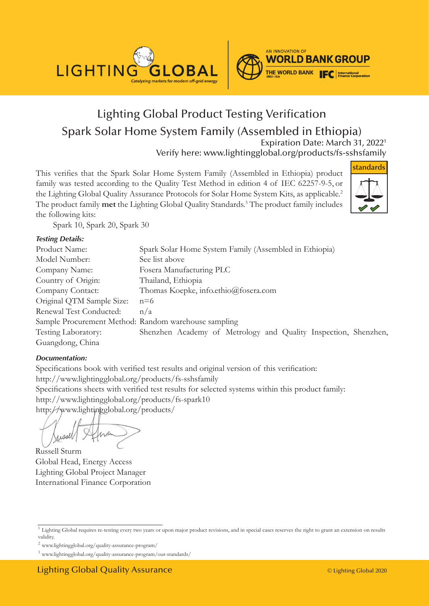



## Lighting Global Product Testing Verification Spark Solar Home System Family (Assembled in Ethiopia) Expiration Date: March 31, 20221

Verify here: www.lightingglobal.org/products/fs-sshsfamily

This verifies that the Spark Solar Home System Family (Assembled in Ethiopia) product family was tested according to the Quality Test Method in edition 4 of IEC 62257-9-5, or the Lighting Global Quality Assurance Protocols for Solar Home System Kits, as applicable.<sup>2</sup> The product family **met** the Lighting Global Quality Standards.3 The product family includes the following kits:



Spark 10, Spark 20, Spark 30

#### *Testing Details:*

| Product Name:                                        | Spark Solar Home System Family (Assembled in Ethiopia)          |
|------------------------------------------------------|-----------------------------------------------------------------|
| Model Number:                                        | See list above                                                  |
| Company Name:                                        | Fosera Manufacturing PLC                                        |
| Country of Origin:                                   | Thailand, Ethiopia                                              |
| Company Contact:                                     | Thomas Koepke, info.ethio@fosera.com                            |
| Original QTM Sample Size:                            | $n=6$                                                           |
| Renewal Test Conducted:                              | n/a                                                             |
| Sample Procurement Method: Random warehouse sampling |                                                                 |
| Testing Laboratory:                                  | Shenzhen Academy of Metrology and Quality Inspection, Shenzhen, |
| Guangdong, China                                     |                                                                 |

#### *Documentation:*

Specifications book with verified test results and original version of this verification: http://www.lightingglobal.org/products/fs-sshsfamily Specifications sheets with verified test results for selected systems within this product family: http://www.lightingglobal.org/products/fs-spark10 http://www.lightingglobal.org/products/

Russell Sturm Global Head, Energy Access Lighting Global Project Manager International Finance Corporation

<sup>2</sup> www.lightingglobal.org/quality-assurance-program/

<sup>&</sup>lt;sup>1</sup> Lighting Global requires re-testing every two years or upon major product revisions, and in special cases reserves the right to grant an extension on results validity.

<sup>3</sup> www.lightingglobal.org/quality-assurance-program/our-standards/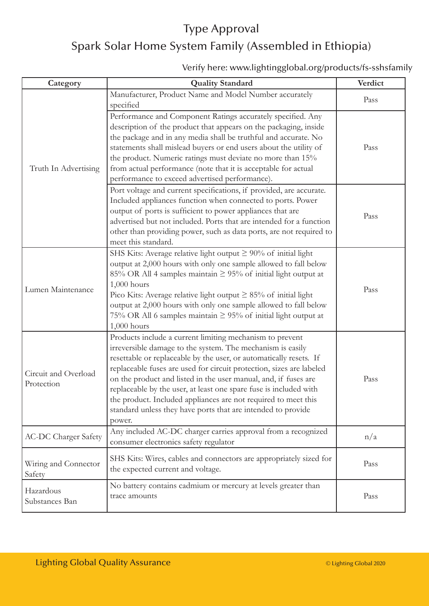# Type Approval Spark Solar Home System Family (Assembled in Ethiopia)

#### Verify here: www.lightingglobal.org/products/fs-sshsfamily

| Category                           | <b>Quality Standard</b>                                                                                                                                                                                                                                                                                                                                                                                                                                                                                                                                  | Verdict |
|------------------------------------|----------------------------------------------------------------------------------------------------------------------------------------------------------------------------------------------------------------------------------------------------------------------------------------------------------------------------------------------------------------------------------------------------------------------------------------------------------------------------------------------------------------------------------------------------------|---------|
| Truth In Advertising               | Manufacturer, Product Name and Model Number accurately<br>specified                                                                                                                                                                                                                                                                                                                                                                                                                                                                                      | Pass    |
|                                    | Performance and Component Ratings accurately specified. Any<br>description of the product that appears on the packaging, inside<br>the package and in any media shall be truthful and accurate. No<br>statements shall mislead buyers or end users about the utility of<br>the product. Numeric ratings must deviate no more than 15%<br>from actual performance (note that it is acceptable for actual<br>performance to exceed advertised performance).                                                                                                | Pass    |
|                                    | Port voltage and current specifications, if provided, are accurate.<br>Included appliances function when connected to ports. Power<br>output of ports is sufficient to power appliances that are<br>advertised but not included. Ports that are intended for a function<br>other than providing power, such as data ports, are not required to<br>meet this standard.                                                                                                                                                                                    | Pass    |
| Lumen Maintenance                  | SHS Kits: Average relative light output $\geq 90\%$ of initial light<br>output at 2,000 hours with only one sample allowed to fall below<br>85% OR All 4 samples maintain $\geq$ 95% of initial light output at<br>$1,000$ hours<br>Pico Kits: Average relative light output $\geq 85\%$ of initial light<br>output at 2,000 hours with only one sample allowed to fall below<br>75% OR All 6 samples maintain $\geq$ 95% of initial light output at<br>$1,000$ hours                                                                                    | Pass    |
| Circuit and Overload<br>Protection | Products include a current limiting mechanism to prevent<br>irreversible damage to the system. The mechanism is easily<br>resettable or replaceable by the user, or automatically resets. If<br>replaceable fuses are used for circuit protection, sizes are labeled<br>on the product and listed in the user manual, and, if fuses are<br>replaceable by the user, at least one spare fuse is included with<br>the product. Included appliances are not required to meet this<br>standard unless they have ports that are intended to provide<br>power. | Pass    |
| <b>AC-DC Charger Safety</b>        | Any included AC-DC charger carries approval from a recognized<br>consumer electronics safety regulator                                                                                                                                                                                                                                                                                                                                                                                                                                                   | n/a     |
| Wiring and Connector<br>Safety     | SHS Kits: Wires, cables and connectors are appropriately sized for<br>the expected current and voltage.                                                                                                                                                                                                                                                                                                                                                                                                                                                  | Pass    |
| Hazardous<br>Substances Ban        | No battery contains cadmium or mercury at levels greater than<br>trace amounts                                                                                                                                                                                                                                                                                                                                                                                                                                                                           | Pass    |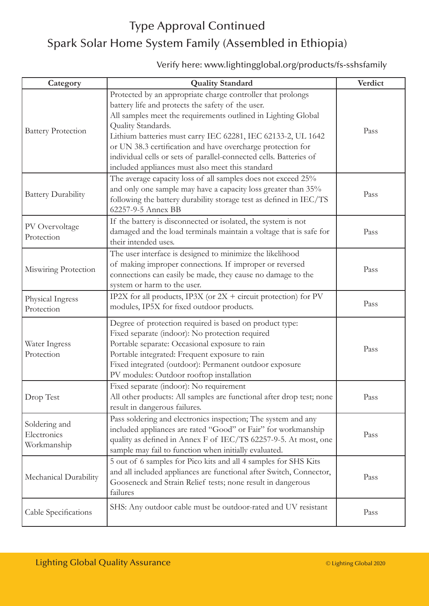# Type Approval Continued Spark Solar Home System Family (Assembled in Ethiopia)

### Verify here: www.lightingglobal.org/products/fs-sshsfamily

| Category                                    | <b>Quality Standard</b>                                                                                                                                                                                                                                                                                                                                                                                                                                          | Verdict |
|---------------------------------------------|------------------------------------------------------------------------------------------------------------------------------------------------------------------------------------------------------------------------------------------------------------------------------------------------------------------------------------------------------------------------------------------------------------------------------------------------------------------|---------|
| <b>Battery Protection</b>                   | Protected by an appropriate charge controller that prolongs<br>battery life and protects the safety of the user.<br>All samples meet the requirements outlined in Lighting Global<br>Quality Standards.<br>Lithium batteries must carry IEC 62281, IEC 62133-2, UL 1642<br>or UN 38.3 certification and have overcharge protection for<br>individual cells or sets of parallel-connected cells. Batteries of<br>included appliances must also meet this standard | Pass    |
| <b>Battery Durability</b>                   | The average capacity loss of all samples does not exceed 25%<br>and only one sample may have a capacity loss greater than 35%<br>following the battery durability storage test as defined in IEC/TS<br>62257-9-5 Annex BB                                                                                                                                                                                                                                        | Pass    |
| PV Overvoltage<br>Protection                | If the battery is disconnected or isolated, the system is not<br>damaged and the load terminals maintain a voltage that is safe for<br>their intended uses.                                                                                                                                                                                                                                                                                                      | Pass    |
| Miswiring Protection                        | The user interface is designed to minimize the likelihood<br>of making improper connections. If improper or reversed<br>connections can easily be made, they cause no damage to the<br>system or harm to the user.                                                                                                                                                                                                                                               | Pass    |
| Physical Ingress<br>Protection              | IP2X for all products, IP3X (or 2X + circuit protection) for PV<br>modules, IP5X for fixed outdoor products.                                                                                                                                                                                                                                                                                                                                                     | Pass    |
| Water Ingress<br>Protection                 | Degree of protection required is based on product type:<br>Fixed separate (indoor): No protection required<br>Portable separate: Occasional exposure to rain<br>Portable integrated: Frequent exposure to rain<br>Fixed integrated (outdoor): Permanent outdoor exposure<br>PV modules: Outdoor rooftop installation                                                                                                                                             | Pass    |
| Drop Test                                   | Fixed separate (indoor): No requirement<br>All other products: All samples are functional after drop test; none  <br>result in dangerous failures.                                                                                                                                                                                                                                                                                                               | Pass    |
| Soldering and<br>Electronics<br>Workmanship | Pass soldering and electronics inspection; The system and any<br>included appliances are rated "Good" or Fair" for workmanship<br>quality as defined in Annex F of IEC/TS 62257-9-5. At most, one<br>sample may fail to function when initially evaluated.                                                                                                                                                                                                       | Pass    |
| Mechanical Durability                       | 5 out of 6 samples for Pico kits and all 4 samples for SHS Kits<br>and all included appliances are functional after Switch, Connector,<br>Gooseneck and Strain Relief tests; none result in dangerous<br>failures                                                                                                                                                                                                                                                | Pass    |
| Cable Specifications                        | SHS: Any outdoor cable must be outdoor-rated and UV resistant                                                                                                                                                                                                                                                                                                                                                                                                    | Pass    |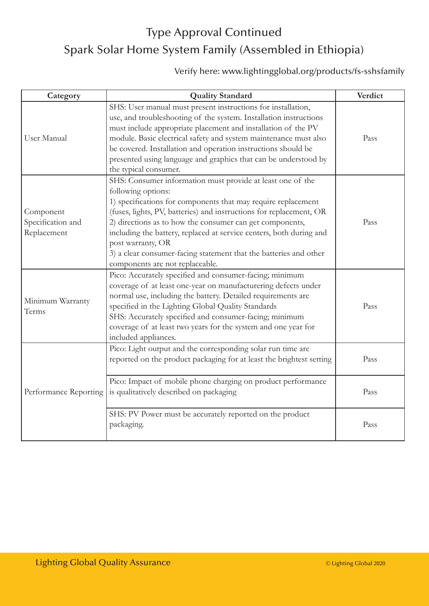# Type Approval Continued Spark Solar Home System Family (Assembled in Ethiopia)

### Verify here: www.lightingglobal.org/products/fs-sshsfamily

| Category                                      | <b>Quality Standard</b>                                                                                                                                                                                                                                                                                                                                                                                                                                                                  | Verdict |
|-----------------------------------------------|------------------------------------------------------------------------------------------------------------------------------------------------------------------------------------------------------------------------------------------------------------------------------------------------------------------------------------------------------------------------------------------------------------------------------------------------------------------------------------------|---------|
| <b>User Manual</b>                            | SHS: User manual must present instructions for installation,<br>use, and troubleshooting of the system. Installation instructions<br>must include appropriate placement and installation of the PV<br>module. Basic electrical safety and system maintenance must also<br>be covered. Installation and operation instructions should be<br>presented using language and graphics that can be understood by<br>the typical consumer.                                                      | Pass    |
| Component<br>Specification and<br>Replacement | SHS: Consumer information must provide at least one of the<br>following options:<br>1) specifications for components that may require replacement<br>(fuses, lights, PV, batteries) and instructions for replacement, OR<br>2) directions as to how the consumer can get components,<br>including the battery, replaced at service centers, both during and<br>post warranty, OR<br>3) a clear consumer-facing statement that the batteries and other<br>components are not replaceable. | Pass    |
| Minimum Warranty<br>Terms                     | Pico: Accurately specified and consumer-facing; minimum<br>coverage of at least one-year on manufacturering defects under<br>normal use, including the battery. Detailed requirements are<br>specified in the Lighting Global Quality Standards<br>SHS: Accurately specified and consumer-facing; minimum<br>coverage of at least two years for the system and one year for<br>included appliances.                                                                                      | Pass    |
| Performance Reporting                         | Pico: Light output and the corresponding solar run time are<br>reported on the product packaging for at least the brightest setting                                                                                                                                                                                                                                                                                                                                                      | Pass    |
|                                               | Pico: Impact of mobile phone charging on product performance<br>is qualitatively described on packaging                                                                                                                                                                                                                                                                                                                                                                                  | Pass    |
|                                               | SHS: PV Power must be accurately reported on the product<br>packaging.                                                                                                                                                                                                                                                                                                                                                                                                                   | Pass    |